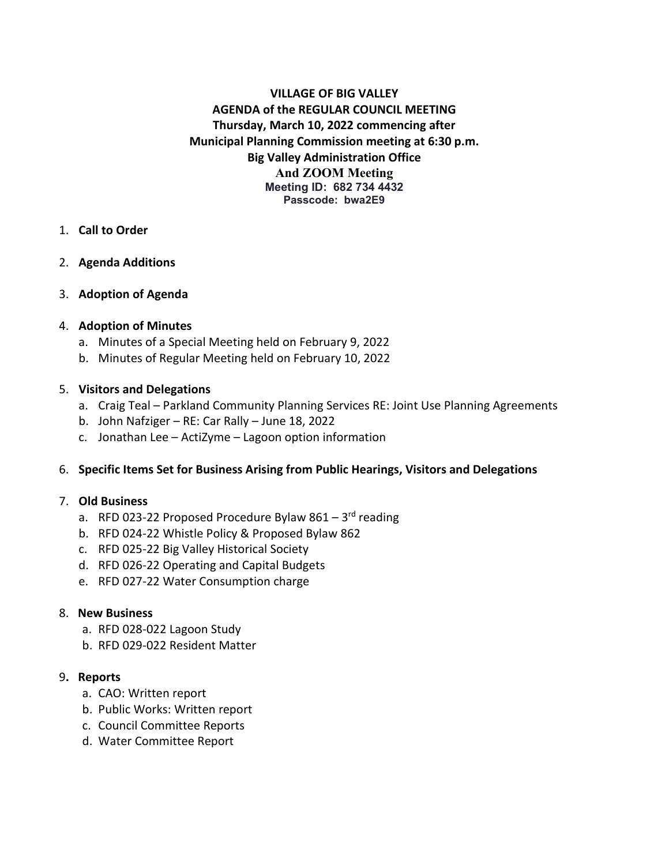# **VILLAGE OF BIG VALLEY AGENDA of the REGULAR COUNCIL MEETING Thursday, March 10, 2022 commencing after Municipal Planning Commission meeting at 6:30 p.m. Big Valley Administration Office And ZOOM Meeting Meeting ID: 682 734 4432 Passcode: bwa2E9**

### 1. **Call to Order**

### 2. **Agenda Additions**

### 3. **Adoption of Agenda**

### 4. **Adoption of Minutes**

- a. Minutes of a Special Meeting held on February 9, 2022
- b. Minutes of Regular Meeting held on February 10, 2022

### 5. **Visitors and Delegations**

- a. Craig Teal Parkland Community Planning Services RE: Joint Use Planning Agreements
- b. John Nafziger RE: Car Rally June 18, 2022
- c. Jonathan Lee ActiZyme Lagoon option information

### 6. **Specific Items Set for Business Arising from Public Hearings, Visitors and Delegations**

#### 7. **Old Business**

- a. RFD 023-22 Proposed Procedure Bylaw  $861 3^{rd}$  reading
- b. RFD 024-22 Whistle Policy & Proposed Bylaw 862
- c. RFD 025-22 Big Valley Historical Society
- d. RFD 026-22 Operating and Capital Budgets
- e. RFD 027-22 Water Consumption charge

#### 8. **New Business**

- a. RFD 028-022 Lagoon Study
- b. RFD 029-022 Resident Matter

#### 9**. Reports**

- a. CAO: Written report
- b. Public Works: Written report
- c. Council Committee Reports
- d. Water Committee Report